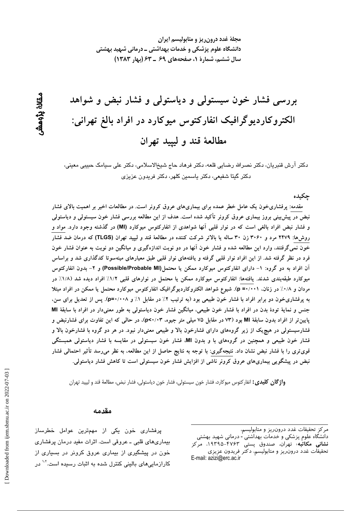مجلهٔ غدد درون ریز و متابولیسم ایران دانشگاه علوم پزشکی و خدمات بهداشتی ــ درمانی شهید بهشتی سال ششم، شمارهٔ ۱، صفحههای ۶۹ ـ ۶۳ (بهار ۱۳۸۳)

# بررسی فشار خون سیستولی و دیاستولی و فشار نبض و شواهد الکتروکاردیوگرافیک انفارکتوس میوکارد در افراد بالغ تهرانی: مطالعهٔ قند و لیپید تهران

دکتر آرش قنبریان، دکتر نصرالله رضایی قلعه، دکتر فرهاد حاج شیخالاسلامی، دکتر علی سیامک حبیبی معینی، دكتر گيتا شفيعي، دكتر ياسمين كلهر، دكتر فريدون عزيزي

جكىدە

مقدمه: پرفشاریخون یک عامل خطر عمده برای بیماریهای عروق کرونر است. در مطالعات اخیر بر اهمیت بالای فشار نبض در پیش بینی بروز بیماری عروق کرونر تأکید شده است. هدف از این مطالعه بررسی فشار خون سیستولی و دیاستولی و فشار نبض افراد بالغی است که در نوار قلبی آنها شواهدی از انفارکتوس میوکارد (MI) در گذشته وجود دارد. مواد و روشها: ۲۴۷۹ مرد و ۳۰۶۰ زن ۳۰ ساله یا بالاتر شرکت کننده در مطالعهٔ قند و لیپید تهران (TLGS) که درمان ضد فشار خون نمی گرفتند، وارد این مطالعه شده و فشار خون آنها در دو نوبت اندازهگیری و میانگین دو نوبت به عنوان فشار خون فرد در نظر گرفته شد. از این افراد نوار قلبی گرفته و یافتههای نوار قلبی طبق معیارهای مینهسوتا کدگذاری شد و براساس آن افراد به دو گروه: ١- دارای انفارکتوس میوکارد ممکن یا محتمل(Possible/Probable MI) و ۲- بدون انفارکتوس میوکارد طبقهبندی شدند. یافتهها: انفارکتوس میوکارد ممکن یا محتمل در نوارهای قلبی ۱/۲٪ افراد دیده شد (۱/۸٪ در مردان و ۰/۸٪ در زنان، p =۰/۰۰۱). شیوع شواهد الکتروکاردیوگرافیک انفارکتوس میوکارد محتمل یا ممکن در افراد مبتلا به پرفشاریخون دو برابر افراد با فشار خون طبیعی بود (به ترتیب ۲٪ در مقابل ۱٪ و ۰/۰۰۸). پس از تعدیل برای سن، جنس و نمایهٔ تودهٔ بدن در افراد با فشار خون طبیعی، میانگین فشار خون دیاستولی به طور معنیدار در افراد با سابقهٔ Ml پایین تر از افراد بدون سابقهٔ MI بود (۷۳ در مقابل ۷۵ میلی متر جیوه، p<۰/۰۳)، در حالی که این تفاوت برای فشارنبض و فشارسیستولی در هیچ یک از زیر گروههای دارای فشارخون بالا و طبیعی معنیدار نبود. در هر دو گروه با فشارخون بالا و فشار خون طبیعی و همچنین در گروههای با و بدون MI، فشار خون سیستولی در مقایسه با فشار دیاستولی همبستگی قویتری را با فشار نبض نشان داد. نتیجهگیری: با توجه به نتایج حاصل از این مطالعه، به نظر میرسد تأثیر احتمالی فشار نبض در پیشگویی بیماریهای عروق کرونر ناشی از افزایش فشار خون سیستولی است تا کاهش فشار دیاستولی.

**واژگان کلیدی:** انفارکتوس میوکارد، فشار خون سیستولی، فشار خون دیاستولی، فشار نبض، مطالعهٔ قند و لیپید تهران

#### مقدمه

پرفشاری خون یکی از مهمترین عوامل خطرساز بیماریهای قلبی ـ عروقی است. اثرات مفید درمان پرفشاری خون در پیشگیری از بیماری عروق کرونر در بسیاری از کارازمایی *ه*ای بالینی کنترل شده به اثبات رسیده است.<sup>۱۰۲</sup> در

ىقانۇ بۇھش

مركز تحقيقات غدد درون ريز و متابوليسم،

دانشگاه علوم پزشکی و خدمات بهداشتی - درمانی شهید بهشتی **نشانی مکاتبه**؛ تهران، صندوق پستی ۴۷۶۳–۱۹۳۹۵، مرکز تحقيقات غدد درون ريز و متابوليسم، دكتر فريدون عزيزى E-mail: azizi@erc.ac.ir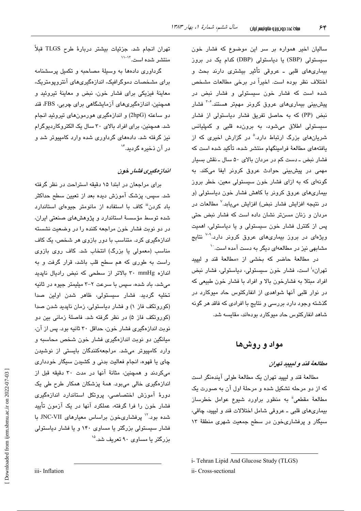سالیان اخیر همواره بر سر این موضوع که فشار خون سیستولی (SBP) یا دیاستولی (DBP) کدام یک در بروز بیماریهای قلبی ـ عروقی تأثیر بیشتری دارند بحث و اختلاف نظر بوده است. اخیراً در برخی مطالعات مشخص شده است که فشار خون سیستولی و فشار نبض در پیشبینی بیماریهای عروق کرونر مهمتر هستند.<sup>۳-۶</sup> فشار نبض (PP) که به حاصل تفریق فشار دیاستولی از فشار سیستولی اطلاق میشود، به برون،ده قلبی و کمپلیانس شریانهای بزرگ ارتباط دارد.<sup>۵</sup> در گزارش اخیری که از یافتههای مطالعهٔ فرامینگهام منتشر شده، تأکید شده است که فشار نبض ـ دست کم در مردان بالای ۵۰ سال ـ نقش بسیار مهمی در پیشبینی حوادث عروق کرونر ایفا میکند. به گونهای که به ازای فشار خون سیستولی معین، خطر بروز بیماریهای عروق کرونر با کاهش فشار خون دیاستولی (و در نتیجه افزایش فشار نبض) افزایش می،یابد.<sup>۷</sup> مطالعات در مردان و زنان مسنتر نشان داده است که فشار نبض حتی پس از کنترل فشار خون سیستولی و یا دیاستولی، اهمیت ویژهای در بروز بیماریهای عروق کرونر دارد.<sup>۹-۷</sup> نتایج مشابهی نیز در مطالعهای دیگر به دست آمده است.<sup>۱۰</sup>

در مطالعهٔ حاضر که بخشی از «مطالعهٔ قند و لیپید تهران»<sup>:</sup> است، فشار خون سیستولی، دیاستولی، فشار نبض افراد مبتلا به فشارخون بالا و افراد با فشار خون طبیعی که در نوار قلبی آنها شواهدی از انفارکتوس حاد میوکارد در گذشته وجود دارد بررسی و نتایج با افرادی که فاقد هر گونه شاهد انفارکتوس حاد میوکارد بودهاند، مقایسه شد.

مواد و روشها

#### مطالعهٔ قند و لیبید تهران

مطالعهٔ قند و لیپید تهران یک مطالعهٔ طولی آیندهنگر است که از دو مرحله تشکیل شده و مرحلهٔ اول آن به صورت یک مطالعهٔ مقطعی" به منظور براورد شیوع عوامل خطرساز بیماریهای قلبی ــ عروقی شامل اختلالات قند و لیپید، چاقی، سیگار و پرفشاریخون در سطح جمعیت شهری منطقهٔ ۱۳

تهران انجام شد. جزئیات بیشتر دربارهٔ طرح TLGS قبلاً منتشر شده است. ١٢-١١

گرداوری دادهها به وسیلهٔ مصاحبه و تکمیل پرسشنامه برای مشخصات دموگرافیک، اندازهگیریهای آنتروپومتریک، معاينهٔ فيزيكي براي فشار خون، نبض و معاينهٔ تيروئيد و همچنین، اندازەگیریهای آزمایشگاهی برای چربی، FBS، قند دو ساعته (2hpG) و اندازهگیری هورمونهای تیروئید انجام شد. همچنین، برای افراد بالای ۳۰ سال یک الکتروکاردیوگرام نیز گرفته شد. دادههای گرداوری شده وارد کامپیوتر شد و در آن ذخیره گریند.<sup>۱۴</sup>

#### انداز مگیری فشیار خون

برای مراجعان در ابتدا ۱۵ دقیقه استراحت در نظر گرفته شد. سپس، پزشک آموزش دیده بعد از تعیین سطح حداکثر باد کردن<sup>iii</sup> کاف با استفاده از مانومتر جیوها*ی* استاندارد شده توسط مؤسسهٔ استاندارد و پژوهشهای صنعتی ایران، در دو نوبت فشار خون مراجعه کننده را در وضعیت نشسته اندازهگیری کرد. متناسب با دور بازوی هر شخص، یک کاف مناسب (معمولی یا بزرگ) انتخاب شد. کاف روی بازوی راست به طوری که هم سطح قلب باشد، قرار گرفت و به اندازه ۳۰ mmHg بالاتر از سطحی که نبض رادیال ناپدید می شد، باد شده، سپس با سرعت ۲–۳ میلیمتر جبوره در ثانیه تخليه گرديد. فشار سيستولى، ظاهر شدن اولين صدا (کوروتکف فاز ۱) و فشار دیاستولی، زمان ناپدید شدن صدا (کوروتکف فاز ۵) در نظر گرفته شد. فاصلهٔ زمانی بین دو نوبت اندازهگیری فشار خون، حداقل ۳۰ ثانیه بود. پس از آن، میانگین دو نوبت اندازهگیری فشار خون شخص محاسبه و وارد کامپیوتر میشد. مراجعهکنندگان بایستی از نوشیدن چای یا قهوه، انجام فعالیت بدنی و کشیدن سیگار خودداری میکردند و همچنین، مثانهٔ آنها در مدت ۳۰ دقیقه قبل از اندازهگیری خالی می بود. همهٔ پزشکان همکار طرح طی یک دورهٔ آموزش اختصاصی، پروتکل استاندارد اندازهگیری فشار خون را فرا گرفته، عملکرد آنها در یک آزمون تأیید شده بود.<sup>۱۲</sup> پرفشاریخون براساس معیارهای JNC-VII با فشار سیستولی بزرگتر یا مساوی ۱۴۰ و یا فشار دیاستولی بزرگتر یا مساوی ۹۰ تعریف شد.<sup>۱۵</sup>

i-Tehran Lipid And Glucose Study (TLGS)

ii- Cross-sectional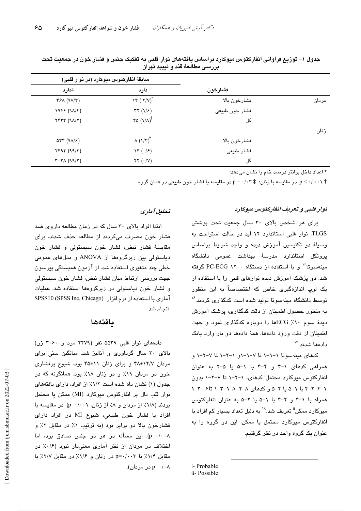|       |                | سابقهٔ انفارکتوس میوکارد (در نوار قلبی)    |                                                                         |
|-------|----------------|--------------------------------------------|-------------------------------------------------------------------------|
|       | فشارخون        | دارد                                       | ندارد                                                                   |
| مردان | فشارخون بالا   | $\lambda \tau (\tau/V)^{*}$                | YFA (9V/T)                                                              |
|       | فشار خون طبیعی | $\tau\tau$ (1/ $\epsilon$ )                | $1955 (9\lambda/\mathcal{F})$                                           |
|       | کل             | $r$ $(1/\lambda)^{\dagger}$                | $Y^*Y^* (9\Lambda/Y)$                                                   |
| زنان  |                |                                            |                                                                         |
|       | فشارخون بالا   | $\Lambda(\lambda/\mathfrak{r})^{\ddagger}$ | $\Delta \mathbf{f} \mathbf{f}$ (9 $\Delta$ / $\mathbf{f}$ )             |
|       | فشار طبيعي     | $\mathcal{N}(\cdot/\mathcal{F})$           | YYY (99/Y)                                                              |
|       | کل             | $\tau\tau$ $(\cdot/\nu)$                   | $\mathbf{r} \cdot \mathbf{r} \wedge (\mathbf{q} \mathbf{q}/\mathbf{r})$ |

جدول ۱– توزیع فراوانی انفارکتوس میوکارد براساس یافتههای نوار قلبی به تفکیک جنس و فشار خون در جمعیت تحت بررسي مطالعهٔ قند و لیپید تهران

\* اعداد داخل پرانتز درصد خام را نشان می،دهد؛

، در مقایسه با زنان؛  $p = \cdot / \cdot r$  در مقایسه با فشار خون طبیعی در همان گروه $p \leq \cdot / \cdot \cdot \gamma$ 

#### نوار قلبی و تعریف انقار کتوس میوکارد

برای هر شخص بالای ۳۰ سال جمعیت تحت پوشش TLGS، نوار قلبی استاندارد ١٢ لید در حالت استراحت به وسيلهٔ دو تکنيسين آموزش ديده و واجد شرايط براساس یروتکل استاندارد مدرسهٔ بهداشت عمومی دانشگاه مینهسوتا<sup>۱۶</sup> و با استفاده از دستگاه ۲۰۰۰ PC-ECG گرفته شد. دو پزشک آموزش دیده نوارهای قلبی را با استفاده از یک لوپ اندازهگیری خاص که اختصاصاً به این منظور توسط دانشگاه مىنەسوتا تولىد شده است كدگذارى كردند.'' به منظور حصول اطمینان از دقت کدگذاری، پزشک آموزش دیدهٔ سوم ۱۰٪ ECGها را دوباره کدگذاری نمود و جهت اطمینان از دقت ورود دادهها، همهٔ دادهها دو بار وارد بانک دادەھا شدند.```

کدهای مینهسوتا ۱–۱–۱ تا ۷–۱–۱و ۱–۲–۱ تا ۷–۲–۱ و همراهی کدهای ١-۴ و ٢-۴ با ١-۵ يا ۵-٢ به عنوان انفارکتوس میوکارد محتمل<sup>:</sup> کدهای، ۱–۲–۱ تا ۷–۲–۱ بدون ۰۱–۴. ۲–۴ با ۱–۵ با ۲–۵ و کدهای ۸–۲–۰٫ ۱–۳–۱ تا۶ –۲–۱ همراه با ١-۴ و ٢-۴ با ١-۵ با ٢-۵ به عنوان انفاركتوس میوکارد ممکن" تعریف شد.<sup>۱۸</sup> به دلیل تعداد بسیار کم افراد با انفارکتوس میوکارد محتمل یا ممکن، این دو گروه را به عنوان یک گروه واحد در نظر گرفتیم.

#### i-Probable ii-Possible

## تحليل آماري

ایتدا افراد بالای ۳۰ سال که در زمان مطالعه داروی ضد فشار خون مصرف مىكردند از مطالعه حذف شدند. براى مقايسهٔ فشار نبض، فشار خون سيستولى و فشار خون دیاستولی بین زیرگروهها از ANOVA و مدلهای عمومی خطی چند متغیری استفاده شد. از آزمون همبستگی پیرسون جهت بررسی ارتباط میان فشار نبض، فشار خون سیستولی و فشار خون دیاستولی در زیرگروهها استفاده شد. عملیات آماري با استفاده از نرم افزار (SPSS Inc, Chicago) انجام شد.

## بافتهها

دادههای نوار قلبی ۵۵۳۹ نفر (۲۴۷۹ مرد و ۳۰۶۰ زن) بالای ۳۰ سال گرداوری و آنالیز شد. میانگین سنی برای مردان ۱۲/۷±۴۸ و برای زنان ۱۱±۴۵ بود. شیوع پرفشاری خون در مردان ۱۹٪ و در زنان ۱۸٪ بود. همانگونه که در جدول (١) نشان داه شده است ١/٢٪ از افراد، دارای یافتههای نوار قلب دال بر انفاركتوس ميوكارد (MI) ممكن يا محتمل بودند (١/٨٪ از مردان و ٨٪ از زنان، p=٠/٠٠١). در مقايسه با افراد با فشار خون طبیعی، شیوع MI در افراد دارای فشارخون بالا دو برابر بود (به ترتیب ۱٪ در مقابل ۲٪ و p=۰/۰۰۸). این مسأله در هر دو جنس صادق بود، اما اختلاف در مردان از نظر آماری معنیدار نبود (۰/۶٪ در مقابل ١/٢٪ با p=٠/٠٠٣ در زنان و ١/٤٪ در مقابل ٢/٧٪ با p=۰/۰۸ در مردان).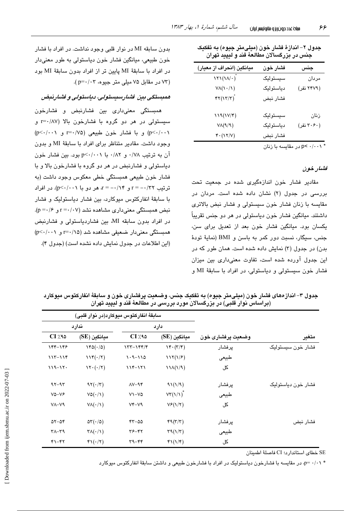| میانگین (انحراف از معیار)                             | فشار خون  | جنس        |
|-------------------------------------------------------|-----------|------------|
| $\lambda Y \lambda (\lambda / \cdot \right)^2$        | سيستوليک  | مردان      |
| $V\Lambda(\mathcal{N}/\mathcal{N})$                   | دياستوليک | (۲۴۷۹ نفر) |
| $\mathfrak{r}\mathfrak{r}(\mathfrak{r}/\mathfrak{r})$ | فشار نبض  |            |
| $119(1V/\mathcal{F})$                                 | سيستوليک  | زنان       |
| $V\Lambda(\mathcal{A}/\mathcal{A})$                   | دياستوليک | (۳۰۶۰ نفر) |
| $Y \cdot (1Y/V)$                                      | فشار نبض  |            |
|                                                       |           |            |

جدول ۲– اندازهٔ فشار خون (میلی،متر جیوه) به تفکیک جنس در بزرگسالان مطالعهٔ قند و لیپید تهران

در مقاسسه با زنان p< ۰/۰۰۱

#### فشار خون

مقادیر فشار خون اندازهگیری شده در جمعیت تحت بررسی در جدول (۲) نشان داده شده است. مردان در مقایسه با زنان فشار خون سیستولی و فشار نبض بالاتری داشتند. ميانگين فشار خون دياستولي در هر دو جنس تقريباً یکسان بود. میانگین فشار خون بعد از تعدیل برای سن، جنس، سيگار، نسبت دور كمر به باسن و BMI (نماية تودة بدن) در جدول (۳) نمایش داده شده است. همان طور که در این جدول آورده شده است، تفاوت معنیداری بین میزان فشار خون سيستولى و دياستولى، در افراد با سابقهٔ MI و

بدون سابقه MI در نوار قلبی وجود نداشت. در افراد با فشار خون طبيعي، ميانگين فشار خون دياستولي به طور معنىدار در افراد با سابقة MI پایین تر از افراد بدون سابقة MI بود (۷۳ در مقابل ۷۵ میلی متر جیوه، ۲۰۲-p=۰/۰۳).

### همېستگى بېن فشارسىيستولى، دياستولى و فشارنىض

همىستگى معنىدارى بين فشارنيض و فشارخون سیستولی در هر دو گروه با فشارخون بالا (r=۰/۸۷ و p<-/...) و با فشار خون طبیعی (r=./۷۵ و p<-/...) وجود داشت. مقادیر متناظر برای افراد با سابقهٔ MI و بدون آن به ترتیب ۰/۷۸ و ۰/۸۲ با p<۰/۰۰۱ بود. بین فشار خون دیاستولی و فشارنبض در هر دو گروه با فشارخون بالا و با فشار خون طبيعي همبستگي خطي معكوس وجود داشت (به ترتيب r = --/۲۲ و r = --/۱۴ هر دو با p<-/-۰۱). در افراد با سابقهٔ انفارکتوس میوکارد، بین فشار دیاستولیک و فشار  $(p = \cdot / 5)$ نیض همستگی معنی داری مشاهده نشد (r =  $\cdot$ /۰۷ و در افراد بدون سابقه MI، بين فشاردياستولى و فشارنبض همبستگی معنیدار ضعیفی مشاهده شد (r=۰/۱۵ و p<۰/۰۰۱) (این اطلاعات در حدول نمایش داده نشده است) (حدول ۴).

|                    |                   | سابقةً انفاركتوس ميوكارد(در نوار قلبي) |                                       |                                       |                       |  |
|--------------------|-------------------|----------------------------------------|---------------------------------------|---------------------------------------|-----------------------|--|
|                    | وضعيت پرفشاری خون | دارد                                   |                                       | ندارد                                 |                       |  |
| متغير              |                   | ميانگين (SE)                           | $CI \times 10$                        | ميانگين (SE)                          | $CI \times 10$        |  |
| فشار خون سیستولیک  | يرفشار            | $\mathcal{N}(\mathcal{K},\mathcal{K})$ | 133-144/4                             | $140(\cdot/\delta)$                   | 144-148               |  |
|                    | طبيعي             | 117(1/F)                               | $1.9 - 110$                           | $114(\cdot/7)$                        | $117 - 119$           |  |
|                    | کل                | $11\Lambda(1/9)$                       | $119 - 171$                           | $\Upsilon \cdot (\cdot / \Upsilon)$   | $119 - 17.$           |  |
| فشار خون دياستوليک | پرفشار            | 91(1/9)                                | $\Lambda V - \mathcal{A} \mathcal{F}$ | $97(\cdot/7)$                         | $97 - 97$             |  |
|                    | طبيعي             | $VT(1/\lambda)^*$                      | $V - V\Delta$                         | $V\Delta(\cdot/\Lambda)$              | $V\Delta - VF$        |  |
|                    | کل                | $V_F(Y Y)$                             | $V^*-V9$                              | $V\Lambda(\cdot/\Lambda)$             | $V - V$ ۹             |  |
| فشار نبض           | پرفشار            | 49(7/7)                                | $rr - \omega \omega$                  | $\Delta \tau (\cdot / \Delta)$        | $\Delta x - \Delta x$ |  |
|                    | طبيعى             | $\Gamma$ 9 $(\frac{\gamma}{\tau})$     | ۳۶-۴۲                                 | $\mathsf{Y}\Lambda(\cdot/\mathsf{1})$ | $Y^{\lambda - Y}$     |  |

 $f\Gamma(\gamma/\tau)$ 

 $\tau$ 9- $\tau$ ۴

حدول ٣ – ابتداز مهاي فشار. خون (مبلــ متر حيوم) به تفكيك حنس، وضعيت بر فشاري خون و سابقةُ ابنفار كتوس ميوكار د

SE خطاي استاندار د؛ CI فاصلهٔ اطمينان

\* ۰/۱۰ - p، در مقایسه با فشارخون دیاستولیک در افراد با فشارخون طبیعی و داشتن سابقهٔ انفارکتوس میوکارد

کل

 $Y - YY$ 

 $f\Gamma(\cdot/\tau)$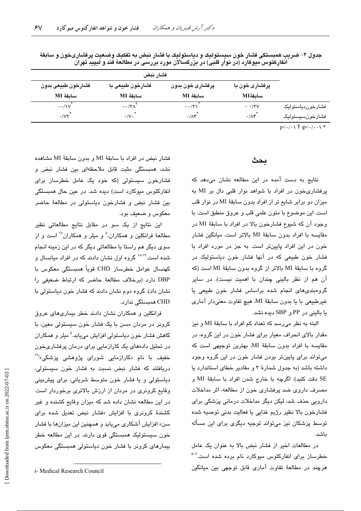| فشارخون طبيعي بدون                | فشارخون طبیعی با     | پرفشاری خون بدون  | پرفشاری خون با    |                  |
|-----------------------------------|----------------------|-------------------|-------------------|------------------|
| ساىقۀ MI                          | ساىقة MI             | ساىقة MI          | ساىقۀ MI          |                  |
| $-\cdot/1V$                       | $-\cdot/\tau\Lambda$ | $-\cdot/\tau$     | $- \cdot$ /۳۷     | فشارخوندياستوليک |
| $\cdot$ / $\vee\vee$ <sup>*</sup> | $\cdot/\vee\cdot$    | $\cdot/\Lambda f$ | $\cdot/\Lambda f$ | فشارخونسيستوليک  |

جدول ۴– ضریب همبستگی فشار خون سیستولیک و دیاستولیک با فشار نبض به تفکیک وضعیت پرفشاریخون و سابقهٔ انفارکتوس میوکارد (در نوار قلبی) در بزرگسالان مورد بررسی در مطالعهٔ قند و لیپید تهران

 $p<\cdot/\cdot\setminus\stackrel{+}{\uparrow}$  :p $<\cdot/\cdot\cdot\setminus\stackrel{*}{\uparrow}$ 

## بحث

نتایج به دست آمده در این مطالعه نشان میدهد که پرفشاریخون در افراد با شواهد نوار قلبی دال بر MI به میزان دو برابر شایع تر از افراد بدون سابقهٔ MI در نوار قلب است. این موضوع با متون علمی قلب و عروق منطبق است. با وجود آن که شیوع فشارخون بالا در افراد با سابقهٔ MI در مقايسه با افراد بدون سابقة MI بالاتر است، ميانگين فشار خون در این افراد پایینتر است. به جز در مورد افراد با فشار خون طبیعی که در آنها فشار خون دیاستولیک در گروه با سابقهٔ MI بالاتر از گروه بدون سابقهٔ MI است (که آن هم از نظر بالینی چندان با اهمیت نیست)، در سایر گروهبندی های انجام شده براساس فشار خون طبیعی یا غيرطبيعي با يا بدون سابقة MI، هيچ تفاوت معنىدار آماري يا باليني در PP و SBP ديده نشد.

البته به نظر می رسد که تعداد کم افراد با سابقهٔ MI و نیز مقدار بالای انحراف معیار برای فشار خون در این گروه، در مقایسه با افراد بدون سابقهٔ MI، بهترین توجیهی است که میتواند برای پایینتر بودن فشار خون در این گروه وجود داشته باشد (به جدول شمارهٔ ۳ و مقادیر خطای استاندارد یا SE دقت كنيد). اگرچه با خارج شدن افراد با سابقهٔ MI و مصرف داروی ضد پرفشاری خون از مطالعه، اثر مداخلات دارویی حذف شد، لیکن دیگر مداخلات درمانی پزشکی برای فشارخون بالا نظیر رژیم غذایی یا فعالیت بدنی توصیه شده توسط پزشکان نیز میتواند توجیه دیگری برای این مسأله ىاشد.

در مطالعات اخیر از فشار نبض بالا به عنوان یک عامل خطرساز برا*ی* انفارکتوس میوکارد نام برده شده است.<sup>۷-د</sup> هرچند در مطالعهٔ تفاوت آماری قابل توجهی بین میانگین

فشار نيض در افراد يا سابقة MI و بدون سابقة MI مشاهده نشد، همبستگی مثبت قابل ملاحظهای بین فشار نبض و فشارخون سیستولی (که خود یک عامل خطرساز برای انفارکتوس میوکارد است) دیده شد. در عین حال همبستگی بین فشار نبض و فشارخون دیاستولی در مطالعهٔ حاضر معكوس و ضعيف بود.

این نتایج از یک سو در مقابل نتایج مطالعاتی نظیر مطالعهٔ فرانکلین و همکاران،<sup>۵</sup> و میلر و همکاران<sup>۱۷</sup> است و از سوی دیگر هم راستا با مطالعاتی دیگر که در این زمینه انجام شده است.<sup>۱۸،۱۹</sup> گروه اول نشان دادند که در افراد میانسال و كهنسال عوامل خطرساز CHD قوياً همبستگى معكوس با DBP دارد (برخلاف مطالعة حاضر كه ارتباط ضعيفى را نشان داد). گروه دوم نشان دادند که فشار خون دیاستولی یا CHD ھمبستگی ندارد.

فرانکلین و همکاران نشان دادند خطر بیماریهای عروق کرونر در مردان مسن با یک فشار خون سیستولی معین، با کاهش فشار خون دیاستولی افزایش مے،پاید.<sup>۵</sup> میلر و همکاران در تحلیل دادههای یک کارازمایی برای درمان پرفشاریخون خفیف با نام «کارازمایی شورا*ی* پژوهش*ی* پزشکی،<sup>۶۱</sup>۰ دریافتند که فشار نبض نسبت به فشار خون سیستولی، دیاستولی و یا فشار خون متوسط شریانی، برای پیشبینی وقایع کرونری در مردان از ارزش بالاتری برخوردار است. در این مطالعه نشان داده شد که میزان وقایع کشنده و غیر کشندهٔ کرونری با افزایش «فشار نبض تعدیل شده برای سن» افزایش آشکاری میبابد و همچنین این میزانها با فشار خون سیستولیک همبستگی قوی دارند. در این مطالعه خطر بیمارهای کرونر با فشار خون دیاستولی همبستگی معکوس

i- Medical Research Council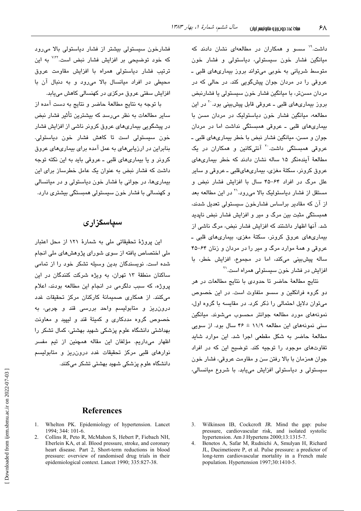داشت.<sup>۱۹</sup> سسو و همکاران در مطالعهای نشان دادند که میانگین فشار خون سیستولی، دیاستولی و فشار خون متوسط شریانی به خوبی میتواند بروز بیماریهای قلبی ـ عروقی را در مردان جوان پیشگویی کند. در حالی که در مردان مسنڌر، با ميانگين فشار خون سيستولي يا فشارنبض بروز بیماریهای قلبی ــ عروقی قابل پیشبینی بود<sup>. ۲</sup> در این مطالعه، میانگین فشار خون دیاستولیک در مردان مسن با بیماریهای قلبی ـ عروقی همبستگی نداشت اما در مردان جوان و مسن، مبانگین فشار نیض یا خطر بیماریهای قلبی ــ عروقی همبستگی داشت<sup>. ۲</sup> آنتیکانین و همکاران در یک مطالعهٔ آیندهنگر ۱۵ ساله نشان دادند که خطر بیماری های عروق کرونر، سکتهٔ مغزی، بیماریهایقلبی ــ عروقی و سایر علل مرگ در افراد ۶۴–۴۵ سال با افزایش فشار نبض و مستقل از فشار دیاستولیک بالا میرود.'` در این مطالعه بعد از آن که مقادیر پراساس فشارخون سیستولی تعدیل شدند، همبستگی مثبت بین مرگ و میر و افزایش فشار نبض ناپدید شد. آنها اظهار داشتند که افزایش فشار نبض، مرگ ناشی از بیماریهای عروق کرونر، سکتهٔ مغزی، بیماریهای قلبی ـ عروقی و همهٔ موارد مرگ و میر را در مردان و زنان ۶۴–۴۵ ساله پیشبینی میکند، اما در مجموع، افزایش خطر، با افزایش در فشار خون سیستولی همراه است.<sup>۲۱</sup>

نتايج مطالعهٔ حاضر تا حدودي با نتايج مطالعات در هر دو گروه فرانکلین و سسو متفاوت است. در این خصوص می توان دلایل احتمالی را ذکر کرد. در مقایسه با گروه اول، نمونههای مورد مطالعه جوانتر محسوب میشوند. میانگین سنی نمونههای این مطالعه ۱۱/۹ ± ۴۶ سال بود. از سویی مطالعهٔ حاضر به شکل مقطعی اجرا شد. این موارد شاید تفاوتهای موجود را توجیه کند. توضیح این که در افراد جوان همزمان با بالا رفتن سن و مقاومت عروقی، فشار خون سیستولی و دیاستولی افزایش میبابد. با شروع میانسالی،

فشارخون سیستولی بیشتر از فشار دیاستولی بالا میرود که خود توضیحی بر افزایش فشار نبض است.<sup>۷٬۲۲</sup> به این ترتیب فشار دیاستولی همراه با افزایش مقاومت عروق محیطی در افراد میانسال بالا می رود و به دنبال آن با افزایش سفتی عروق مرکزی در کهنسالی کاهش می،یابد.

با توجه به نتايج مطالعهٔ حاضر و نتايج به دست آمده از سایر مطالعات به نظر میرسد که بیشترین تأثیر فشار نبض در پیشگویی بیماریهای عروق کرونر ناشی از افزایش فشار خون سیستولی است تا کاهش فشار خون دیاستولی. بنابراین در ارزیابیهای به عمل آمده برای بیماریهای عروق کرونر و یا بیماریهای قلبی ـ عروقی باید به این نکته توجه داشت که فشار نبض به عنوان یک عامل خطرساز برای این بیماریها، در جوانی با فشار خون دیاستولی و در میانسالی و کهنسالی با فشار خون سیستولی همبستگی بیشتری دارد.

# سیاسگزاری

این پروژهٔ تحقیقاتی ملی به شمارهٔ ۱۲۱ از محل اعتبار ملی اختصاص یافته از سوی شورای پژوهشهای ملی انجام شده است. نویسندگان بدین وسیله تشکر خود را از تمامی ساکنان منطقهٔ ۱۳ تهران، به ویژه شرکت کنندگان در این یروژه، که سبب دلگرمی در انجام این مطالعه بودند، اعلام میکنند. از همکاری صمیمانهٔ کارکنان مرکز تحقیقات غدد درون ریز و متابولیسم واحد بررسی قند و چربی، به خصوص گروه مددکاری و کمیتهٔ قند و لیپید و معاونت بھداشتی دانشگاہ علوم پزشکی شھید بھشتی، کمال تشکر را اظهار میداریم. مؤلفان این مقاله همچنین از تیم مفسر نوارهای قلبی مرکز تحقیقات غدد درون ریز و متابولیسم دانشگاه علوم پزشکی شهید بهشتی تشکر میکنند.

# **References**

- 1. Whelton PK. Epidemiology of hypertension. Lancet 1994; 344: 101-6.
- 2. Collins R, Peto R, McMahon S, Hebert P, Fiebach NH, Eberlein KA, et al. Blood pressure, stroke, and coronary heart disease. Part 2, Short-term reductions in blood pressure: overview of randomised drug trials in their epidemiological context. Lancet 1990; 335:827-38.
- 3. Wilkinson IB, Cockcroft JR. Mind the gap: pulse pressure, cardiovascular risk, and isolated systolic hypertension. Am J Hypertens 2000;13:1315-7.
- $\overline{4}$ Benetos A, Safar M, Rudnichi A, Smulyan H, Richard JL, Ducimetieere P, et al. Pulse pressure: a predictor of long-term cardiovascular mortality in a French male population. Hypertension 1997;30:1410-5.